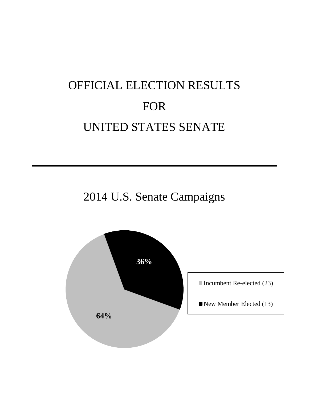## OFFICIAL ELECTION RESULTS FOR UNITED STATES SENATE

2014 U.S. Senate Campaigns

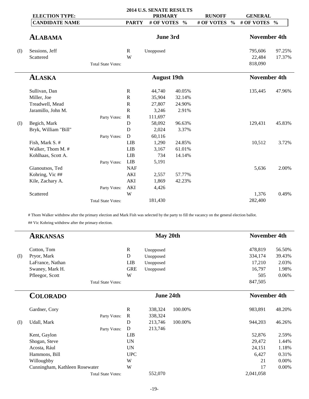|     | <b>ELECTION TYPE:</b> |                           |              | 2014 U.S. SENATE RESULTS<br><b>PRIMARY</b> |               | <b>RUNOFF</b> |               | <b>GENERAL</b>      |               |
|-----|-----------------------|---------------------------|--------------|--------------------------------------------|---------------|---------------|---------------|---------------------|---------------|
|     | <b>CANDIDATE NAME</b> |                           | <b>PARTY</b> | # OF VOTES                                 | $\frac{0}{0}$ | # OF VOTES    | $\frac{6}{6}$ | # OF VOTES          | $\frac{6}{6}$ |
|     | <b>ALABAMA</b>        |                           |              | June 3rd                                   |               |               |               | <b>November 4th</b> |               |
| (I) | Sessions, Jeff        |                           | $\mathbb{R}$ | Unopposed                                  |               |               |               | 795,606             | 97.25%        |
|     | Scattered             |                           | W            |                                            |               |               |               | 22,484              | 17.37%        |
|     |                       | <b>Total State Votes:</b> |              |                                            |               |               |               | 818,090             |               |
|     | <b>ALASKA</b>         |                           |              | <b>August 19th</b>                         |               |               |               | <b>November 4th</b> |               |
|     | Sullivan, Dan         |                           | $\mathbb{R}$ | 44,740                                     | 40.05%        |               |               | 135,445             | 47.96%        |
|     | Miller, Joe           |                           | $\mathbb{R}$ | 35,904                                     | 32.14%        |               |               |                     |               |
|     | Treadwell, Mead       |                           | ${\bf R}$    | 27,807                                     | 24.90%        |               |               |                     |               |
|     | Jaramillo, John M.    |                           | $\mathsf{R}$ | 3,246                                      | 2.91%         |               |               |                     |               |
|     |                       | Party Votes:              | $\mathbf R$  | 111,697                                    |               |               |               |                     |               |
| (I) | Begich, Mark          |                           | D            | 58,092                                     | 96.63%        |               |               | 129,431             | 45.83%        |
|     | Bryk, William "Bill"  |                           | D            | 2,024                                      | 3.37%         |               |               |                     |               |
|     |                       | Party Votes:              | D            | 60,116                                     |               |               |               |                     |               |
|     | Fish, Mark S. #       |                           | <b>LIB</b>   | 1,290                                      | 24.85%        |               |               | 10,512              | 3.72%         |
|     | Walker, Thom M. #     |                           | <b>LIB</b>   | 3,167                                      | 61.01%        |               |               |                     |               |
|     | Kohlhaas, Scott A.    |                           | <b>LIB</b>   | 734                                        | 14.14%        |               |               |                     |               |
|     |                       | Party Votes:              | <b>LIB</b>   | 5,191                                      |               |               |               |                     |               |
|     | Gianoutsos, Ted       |                           | <b>NAF</b>   |                                            |               |               |               | 5,636               | 2.00%         |
|     | Kohring, Vic ##       |                           | <b>AKI</b>   | 2,557                                      | 57.77%        |               |               |                     |               |
|     | Kile, Zachary A.      |                           | <b>AKI</b>   | 1,869                                      | 42.23%        |               |               |                     |               |
|     |                       | Party Votes:              | AKI          | 4,426                                      |               |               |               |                     |               |
|     | Scattered             |                           | W            |                                            |               |               |               | 1,376               | 0.49%         |
|     |                       | <b>Total State Votes:</b> |              | 181,430                                    |               |               |               | 282,400             |               |

# Thom Walker withdrew after the primary election and Mark Fish was selected by the party to fill the vacancy on the general election ballot.

## Vic Kohring withdrew after the primary election.

÷

|     | <b>ARKANSAS</b>                |              | May 20th  |         | <b>November 4th</b> |        |
|-----|--------------------------------|--------------|-----------|---------|---------------------|--------|
|     | Cotton, Tom                    | $\mathbb{R}$ | Unopposed |         | 478,819             | 56.50% |
| (I) | Pryor, Mark                    | D            | Unopposed |         | 334,174             | 39.43% |
|     | LaFrance, Nathan               | LIB          | Unopposed |         | 17,210              | 2.03%  |
|     | Swaney, Mark H.                | <b>GRE</b>   | Unopposed |         | 16,797              | 1.98%  |
|     | Pfleegor, Scott                | W            |           |         | 505                 | 0.06%  |
|     | <b>Total State Votes:</b>      |              |           |         | 847,505             |        |
|     | <b>COLORADO</b>                |              | June 24th |         | <b>November 4th</b> |        |
|     | Gardner, Cory                  | $\mathbb{R}$ | 338,324   | 100.00% | 983,891             | 48.20% |
|     | Party Votes:                   | $\mathbb{R}$ | 338,324   |         |                     |        |
| (I) | Udall, Mark                    | D            | 213,746   | 100.00% | 944,203             | 46.26% |
|     | Party Votes:                   | ${\bf D}$    | 213,746   |         |                     |        |
|     | Kent, Gaylon                   | <b>LIB</b>   |           |         | 52,876              | 2.59%  |
|     | Shogan, Steve                  | <b>UN</b>    |           |         | 29,472              | 1.44%  |
|     | Acosta, Rául                   | <b>UN</b>    |           |         | 24,151              | 1.18%  |
|     | Hammons, Bill                  | <b>UPC</b>   |           |         | 6,427               | 0.31%  |
|     | Willoughby                     | W            |           |         | 21                  | 0.00%  |
|     | Cunningham, Kathleen Rosewater | W            |           |         | 17                  | 0.00%  |
|     | <b>Total State Votes:</b>      |              | 552,070   |         | 2,041,058           |        |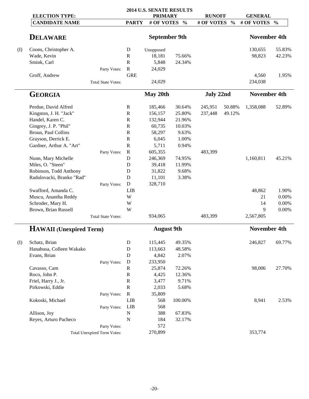|       |                                                |                                    |              | <b>2014 U.S. SENATE RESULTS</b> |               |                             |               |                              |               |
|-------|------------------------------------------------|------------------------------------|--------------|---------------------------------|---------------|-----------------------------|---------------|------------------------------|---------------|
|       | <b>ELECTION TYPE:</b><br><b>CANDIDATE NAME</b> |                                    | <b>PARTY</b> | <b>PRIMARY</b><br># OF VOTES    | $\frac{0}{0}$ | <b>RUNOFF</b><br># OF VOTES | $\frac{0}{0}$ | <b>GENERAL</b><br># OF VOTES | $\frac{0}{0}$ |
|       |                                                |                                    |              |                                 |               |                             |               |                              |               |
|       | <b>DELAWARE</b>                                |                                    |              | <b>September 9th</b>            |               |                             |               | <b>November 4th</b>          |               |
| $($ I | Coons, Christopher A.                          |                                    | D            | Unopposed                       |               |                             |               | 130,655                      | 55.83%        |
|       | Wade, Kevin                                    |                                    | $\mathbb{R}$ | 18,181                          | 75.66%        |                             |               | 98,823                       | 42.23%        |
|       | Smink, Carl                                    |                                    | $\mathbb{R}$ | 5,848                           | 24.34%        |                             |               |                              |               |
|       |                                                | Party Votes:                       | $\mathbf R$  | 24,029                          |               |                             |               |                              |               |
|       | Groff, Andrew                                  |                                    | <b>GRE</b>   |                                 |               |                             |               | 4,560                        | 1.95%         |
|       |                                                | <b>Total State Votes:</b>          |              | 24,029                          |               |                             |               | 234,038                      |               |
|       | <b>GEORGIA</b>                                 |                                    |              | May 20th                        |               | <b>July 22nd</b>            |               | <b>November 4th</b>          |               |
|       | Perdue, David Alfred                           |                                    | $\mathbf R$  | 185,466                         | 30.64%        | 245,951                     | 50.88%        | 1,358,088                    | 52.89%        |
|       | Kingston, J. H. "Jack"                         |                                    | ${\bf R}$    | 156,157                         | 25.80%        | 237,448                     | 49.12%        |                              |               |
|       | Handel, Karen C.                               |                                    | $\mathbb{R}$ | 132,944                         | 21.96%        |                             |               |                              |               |
|       | Gingrey, J. P. "Phil"                          |                                    | $\mathbb{R}$ | 60,735                          | 10.03%        |                             |               |                              |               |
|       | Broun, Paul Collins                            |                                    | $\mathbb{R}$ | 58,297                          | 9.63%         |                             |               |                              |               |
|       | Grayson, Derrick E.                            |                                    | ${\bf R}$    | 6,045                           | 1.00%         |                             |               |                              |               |
|       | Gardner, Arthur A. "Art"                       |                                    | $\mathbb{R}$ | 5,711                           | 0.94%         |                             |               |                              |               |
|       |                                                | Party Votes:                       | $\mathbf R$  | 605,355                         |               | 483,399                     |               |                              |               |
|       | Nunn, Mary Michelle                            |                                    | D            | 246,369                         | 74.95%        |                             |               | 1,160,811                    | 45.21%        |
|       | Miles, O. "Steen"                              |                                    | D            | 39,418                          | 11.99%        |                             |               |                              |               |
|       | Robinson, Todd Anthony                         |                                    | D            | 31,822                          | 9.68%         |                             |               |                              |               |
|       | Radulovacki, Branko "Rad"                      |                                    | D            | 11,101                          | 3.38%         |                             |               |                              |               |
|       |                                                |                                    | D            | 328,710                         |               |                             |               |                              |               |
|       | Swafford, Amanda C.                            | Party Votes:                       | <b>LIB</b>   |                                 |               |                             |               | 48,862                       | 1.90%         |
|       | Muscu, Anantha Reddy                           |                                    | W            |                                 |               |                             |               | 21                           | 0.00%         |
|       | Schroder, Mary H.                              |                                    | W            |                                 |               |                             |               | 14                           | 0.00%         |
|       | Brown, Brian Russell                           |                                    | W            |                                 |               |                             |               | 9                            | 0.00%         |
|       |                                                | <b>Total State Votes:</b>          |              | 934,065                         |               | 483,399                     |               | 2,567,805                    |               |
|       | <b>HAWAII</b> (Unexpired Term)                 |                                    |              | <b>August 9th</b>               |               |                             |               | <b>November 4th</b>          |               |
|       |                                                |                                    |              |                                 |               |                             |               |                              |               |
| (I)   | Schatz, Brian                                  |                                    | D            | 115,445                         | 49.35%        |                             |               | 246,827                      | 69.77%        |
|       | Hanabusa, Colleen Wakako                       |                                    | $\mathbf D$  | 113,663                         | 48.58%        |                             |               |                              |               |
|       | Evans, Brian                                   |                                    | D            | 4,842                           | 2.07%         |                             |               |                              |               |
|       |                                                | Party Votes:                       | $\mathbf D$  | 233,950                         |               |                             |               |                              |               |
|       | Cavasso, Cam                                   |                                    | ${\bf R}$    | 25,874                          | 72.26%        |                             |               | 98,006                       | 27.70%        |
|       | Roco, John P.                                  |                                    | ${\bf R}$    | 4,425                           | 12.36%        |                             |               |                              |               |
|       | Friel, Harry J., Jr.                           |                                    | $\mathbb{R}$ | 3,477                           | 9.71%         |                             |               |                              |               |
|       | Pirkowski, Eddie                               |                                    | ${\bf R}$    | 2,033                           | 5.68%         |                             |               |                              |               |
|       |                                                | Party Votes:                       | ${\bf R}$    | 35,809                          |               |                             |               |                              |               |
|       | Kokoski, Michael                               |                                    | <b>LIB</b>   | 568                             | 100.00%       |                             |               | 8,941                        | 2.53%         |
|       |                                                | Party Votes:                       | LIB          | 568                             |               |                             |               |                              |               |
|       | Allison, Joy                                   |                                    | ${\bf N}$    | 388                             | 67.83%        |                             |               |                              |               |
|       | Reyes, Arturo Pacheco                          |                                    | N            | 184                             | 32.17%        |                             |               |                              |               |
|       |                                                | Party Votes:                       |              | 572                             |               |                             |               |                              |               |
|       |                                                | <b>Total Unexpired Term Votes:</b> |              | 270,899                         |               |                             |               | 353,774                      |               |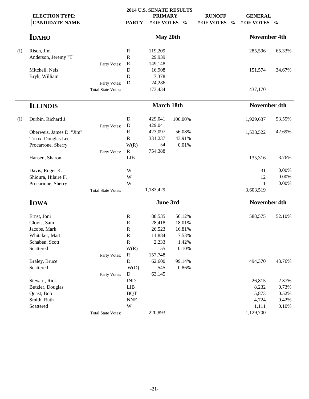|     |                          | 2014 U.S. SENATE RESULTS  |              |                |               |               |               |                     |               |
|-----|--------------------------|---------------------------|--------------|----------------|---------------|---------------|---------------|---------------------|---------------|
|     | <b>ELECTION TYPE:</b>    |                           |              | <b>PRIMARY</b> |               | <b>RUNOFF</b> |               | <b>GENERAL</b>      |               |
|     | <b>CANDIDATE NAME</b>    |                           | <b>PARTY</b> | # OF VOTES     | $\frac{0}{0}$ | # OF VOTES    | $\frac{0}{0}$ | # OF VOTES          | $\frac{0}{0}$ |
|     | <b>IDAHO</b>             |                           |              | May 20th       |               |               |               | <b>November 4th</b> |               |
|     |                          |                           |              |                |               |               |               |                     |               |
| (I) | Risch, Jim               |                           | ${\bf R}$    | 119,209        |               |               |               | 285,596             | 65.33%        |
|     | Anderson, Jeremy "T"     |                           | ${\bf R}$    | 29,939         |               |               |               |                     |               |
|     |                          | Party Votes:              | $\mathbf R$  | 149,148        |               |               |               |                     |               |
|     | Mitchell, Nels           |                           | $\mathbf D$  | 16,908         |               |               |               | 151,574             | 34.67%        |
|     | Bryk, William            |                           | D            | 7,378          |               |               |               |                     |               |
|     |                          | Party Votes:              | D            | 24,286         |               |               |               |                     |               |
|     |                          | <b>Total State Votes:</b> |              | 173,434        |               |               |               | 437,170             |               |
|     | <b>ILLINOIS</b>          |                           |              | March 18th     |               |               |               | <b>November 4th</b> |               |
| (I) | Durbin, Richard J.       |                           | D            | 429,041        | 100.00%       |               |               | 1,929,637           | 53.55%        |
|     |                          | Party Votes:              | $\mathbf D$  | 429,041        |               |               |               |                     |               |
|     | Oberweis, James D. "Jim" |                           | $\mathbb{R}$ | 423,097        | 56.08%        |               |               | 1,538,522           | 42.69%        |
|     | Truax, Douglas Lee       |                           | ${\bf R}$    | 331,237        | 43.91%        |               |               |                     |               |
|     | Procarrone, Sherry       |                           | W(R)         | 54             | 0.01%         |               |               |                     |               |
|     |                          | Party Votes:              | $\mathbf R$  | 754,388        |               |               |               |                     |               |
|     | Hansen, Sharon           |                           | LIB          |                |               |               |               | 135,316             | 3.76%         |
|     | Davis, Roger K.          |                           | W            |                |               |               |               | 31                  | 0.00%         |
|     | Shioura, Hilaire F.      |                           | W            |                |               |               |               | 12                  | $0.00\%$      |
|     | Procarione, Sherry       |                           | W            |                |               |               |               | $\mathbf{1}$        | $0.00\%$      |
|     |                          | <b>Total State Votes:</b> |              | 1,183,429      |               |               |               | 3,603,519           |               |
|     | <b>IOWA</b>              |                           |              | June 3rd       |               |               |               | <b>November 4th</b> |               |
|     | Ernst, Joni              |                           | ${\bf R}$    | 88,535         | 56.12%        |               |               | 588,575             | 52.10%        |
|     | Clovis, Sam              |                           | $\mathbb{R}$ | 28,418         | 18.01%        |               |               |                     |               |
|     | Jacobs, Mark             |                           | ${\bf R}$    | 26,523         | 16.81%        |               |               |                     |               |
|     | Whitaker, Matt           |                           | R            | 11,884         | 7.53%         |               |               |                     |               |
|     | Schaben, Scott           |                           | ${\bf R}$    | 2,233          | 1.42%         |               |               |                     |               |
|     | Scattered                |                           | W(R)         | 155            | 0.10%         |               |               |                     |               |
|     |                          | Party Votes:              | $\mathbf R$  | 157,748        |               |               |               |                     |               |
|     | Braley, Bruce            |                           | $\mathbf D$  | 62,600         | 99.14%        |               |               | 494,370             | 43.76%        |
|     | Scattered                |                           | W(D)         | 545            | 0.86%         |               |               |                     |               |
|     |                          | Party Votes:              | $\mathbf D$  | 63,145         |               |               |               |                     |               |
|     | Stewart, Rick            |                           | <b>IND</b>   |                |               |               |               | 26,815              | 2.37%         |
|     | Butzier, Douglas         |                           | <b>LIB</b>   |                |               |               |               | 8,232               | 0.73%         |
|     | Quast, Bob               |                           | <b>BQT</b>   |                |               |               |               | 5,873               | 0.52%         |
|     | Smith, Ruth              |                           | <b>NNE</b>   |                |               |               |               | 4,724               | 0.42%         |
|     | Scattered                |                           | W            |                |               |               |               | 1,111               | 0.10%         |
|     |                          | <b>Total State Votes:</b> |              | 220,893        |               |               |               | 1,129,700           |               |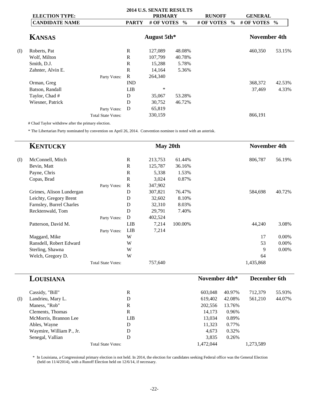| <b>ELECTION TYPE:</b> |                           |              |         |               | <b>RUNOFF</b>                                                                  | <b>GENERAL</b> |                                     |
|-----------------------|---------------------------|--------------|---------|---------------|--------------------------------------------------------------------------------|----------------|-------------------------------------|
| <b>CANDIDATE NAME</b> |                           | <b>PARTY</b> |         | $\frac{6}{9}$ | # OF VOTES                                                                     |                |                                     |
| <b>KANSAS</b>         |                           |              |         |               |                                                                                |                |                                     |
| Roberts, Pat          |                           | R            | 127,089 | 48.08%        |                                                                                | 460,350        | 53.15%                              |
| Wolf, Milton          |                           | R            | 107,799 | 40.78%        |                                                                                |                |                                     |
| Smith, D.J.           |                           | R            | 15,288  | 5.78%         |                                                                                |                |                                     |
| Zahnter, Alvin E.     |                           | $\mathbb{R}$ | 14,164  | 5.36%         |                                                                                |                |                                     |
|                       | Party Votes:              | R            | 264,340 |               |                                                                                |                |                                     |
| Orman, Greg           |                           | <b>IND</b>   |         |               |                                                                                | 368,372        | 42.53%                              |
| Batson, Randall       |                           | <b>LIB</b>   | $\ast$  |               |                                                                                | 37,469         | 4.33%                               |
| Taylor, Chad #        |                           | D            | 35,067  | 53.28%        |                                                                                |                |                                     |
| Wiesner, Patrick      |                           | D            | 30,752  | 46.72%        |                                                                                |                |                                     |
|                       | Party Votes:              | D            | 65,819  |               |                                                                                |                |                                     |
|                       | <b>Total State Votes:</b> |              | 330,159 |               |                                                                                | 866,191        |                                     |
|                       |                           |              |         |               | <b>2014 U.S. SENATE RESULTS</b><br><b>PRIMARY</b><br># OF VOTES<br>August 5th* | $\frac{0}{0}$  | # OF VOTES %<br><b>November 4th</b> |

# Chad Taylor withdrew after the primary election.

\* The Libertarian Party nominated by convention on April 26, 2014. Convention nominee is noted with an asterisk.

|     | <b>KENTUCKY</b>          |                           |              | May 20th |         |               |        | <b>November 4th</b> |        |
|-----|--------------------------|---------------------------|--------------|----------|---------|---------------|--------|---------------------|--------|
| (I) | McConnell, Mitch         |                           | $\mathbb{R}$ | 213,753  | 61.44%  |               |        | 806,787             | 56.19% |
|     | Bevin, Matt              |                           | $\mathbb{R}$ | 125,787  | 36.16%  |               |        |                     |        |
|     | Payne, Chris             |                           | $\mathbb{R}$ | 5,338    | 1.53%   |               |        |                     |        |
|     | Copas, Brad              |                           | $\mathbb{R}$ | 3,024    | 0.87%   |               |        |                     |        |
|     |                          | Party Votes:              | $\mathbf R$  | 347,902  |         |               |        |                     |        |
|     | Grimes, Alison Lundergan |                           | D            | 307,821  | 76.47%  |               |        | 584,698             | 40.72% |
|     | Leichty, Gregory Brent   |                           | D            | 32,602   | 8.10%   |               |        |                     |        |
|     | Farnsley, Burrel Charles |                           | D            | 32,310   | 8.03%   |               |        |                     |        |
|     | Recktenwald, Tom         |                           | D            | 29,791   | 7.40%   |               |        |                     |        |
|     |                          | Party Votes:              | D            | 402,524  |         |               |        |                     |        |
|     | Patterson, David M.      |                           | <b>LIB</b>   | 7,214    | 100.00% |               |        | 44,240              | 3.08%  |
|     |                          | Party Votes:              | <b>LIB</b>   | 7,214    |         |               |        |                     |        |
|     | Maggard, Mike            |                           | W            |          |         |               |        | 17                  | 0.00%  |
|     | Ransdell, Robert Edward  |                           | W            |          |         |               |        | 53                  | 0.00%  |
|     | Sterling, Shawna         |                           | W            |          |         |               |        | 9                   | 0.00%  |
|     | Welch, Gregory D.        |                           | W            |          |         |               |        | 64                  |        |
|     |                          | <b>Total State Votes:</b> |              | 757,640  |         |               |        | 1,435,868           |        |
|     | LOUISIANA                |                           |              |          |         | November 4th* |        | December 6th        |        |
|     | Cassidy, "Bill"          |                           | $\mathbb{R}$ |          |         | 603,048       | 40.97% | 712,379             | 55.93% |
| (D  | Landrieu. Mary L.        |                           | D            |          |         | 619.402       | 42.08% | 561.210             | 44.07% |

| (I) | Landrieu, Mary L.        | D                         | 619.402   | 42.08% | 561,210   | 44.07% |
|-----|--------------------------|---------------------------|-----------|--------|-----------|--------|
|     | Maness, "Rob"            | R                         | 202,556   | 13.76% |           |        |
|     | Clements, Thomas         | R                         | 14.173    | 0.96%  |           |        |
|     | McMorris, Brannon Lee    | LIB                       | 13.034    | 0.89%  |           |        |
|     | Ables, Wayne             | D                         | 11,323    | 0.77%  |           |        |
|     | Waymire, William P., Jr. | D                         | 4.673     | 0.32%  |           |        |
|     | Senegal, Vallian         | D                         | 3.835     | 0.26%  |           |        |
|     |                          | <b>Total State Votes:</b> | 1,472,044 |        | 1,273,589 |        |
|     |                          |                           |           |        |           |        |

\* In Louisiana, a Congressional primary election is not held. In 2014, the election for candidates seeking Federal office was the General Election (held on 11/4/2014), with a Runoff Election held on 12/6/14, if necessary.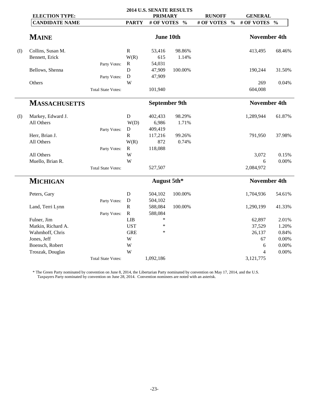|     |                       | 2014 U.S. SENATE RESULTS  |              |                      |               |                     |               |                     |               |
|-----|-----------------------|---------------------------|--------------|----------------------|---------------|---------------------|---------------|---------------------|---------------|
|     | <b>ELECTION TYPE:</b> |                           |              | <b>PRIMARY</b>       |               | <b>RUNOFF</b>       |               | <b>GENERAL</b>      |               |
|     | <b>CANDIDATE NAME</b> |                           | <b>PARTY</b> | # OF VOTES           | $\frac{0}{0}$ | # OF VOTES          | $\frac{0}{0}$ | # OF VOTES          | $\frac{0}{0}$ |
|     | <b>MAINE</b>          |                           |              | <b>June 10th</b>     |               |                     |               | <b>November 4th</b> |               |
| (I) | Collins, Susan M.     |                           | ${\bf R}$    | 53,416               | 98.86%        |                     |               | 413,495             | 68.46%        |
|     | Bennett, Erick        |                           | W(R)         | 615                  | 1.14%         |                     |               |                     |               |
|     |                       | Party Votes:              | $\mathbf R$  | 54,031               |               |                     |               |                     |               |
|     | Bellows, Shenna       |                           | D            | 47,909               | 100.00%       |                     |               | 190,244             | 31.50%        |
|     |                       | Party Votes:              | ${\bf D}$    | 47,909               |               |                     |               |                     |               |
|     | Others                |                           | W            |                      |               |                     |               | 269                 | 0.04%         |
|     |                       | <b>Total State Votes:</b> |              | 101,940              |               |                     |               | 604,008             |               |
|     | <b>MASSACHUSETTS</b>  |                           |              | <b>September 9th</b> |               | <b>November 4th</b> |               |                     |               |
| (I) | Markey, Edward J.     |                           | $\mathbf D$  | 402,433              | 98.29%        |                     |               | 1,289,944           | 61.87%        |
|     | All Others            |                           | W(D)         | 6,986                | 1.71%         |                     |               |                     |               |
|     |                       | Party Votes:              | D            | 409,419              |               |                     |               |                     |               |
|     | Herr, Brian J.        |                           | ${\bf R}$    | 117,216              | 99.26%        |                     |               | 791,950             | 37.98%        |
|     | All Others            |                           | W(R)         | 872                  | 0.74%         |                     |               |                     |               |
|     |                       | Party Votes:              | R            | 118,088              |               |                     |               |                     |               |
|     | All Others            |                           | W            |                      |               |                     |               | 3,072               | 0.15%         |
|     | Muello, Brian R.      |                           | W            |                      |               |                     |               | 6                   | 0.00%         |
|     |                       | <b>Total State Votes:</b> |              | 527,507              |               |                     |               | 2,084,972           |               |
|     | <b>MICHIGAN</b>       |                           |              | August 5th*          |               |                     |               | <b>November 4th</b> |               |
|     | Peters, Gary          |                           | $\mathbf D$  | 504,102              | 100.00%       |                     |               | 1,704,936           | 54.61%        |
|     |                       | Party Votes:              | $\mathbf D$  | 504,102              |               |                     |               |                     |               |
|     | Land, Terri Lynn      |                           | ${\bf R}$    | 588,084              | 100.00%       |                     |               | 1,290,199           | 41.33%        |
|     |                       | Party Votes:              | $\mathbf R$  | 588,084              |               |                     |               |                     |               |
|     | Fulner, Jim           |                           | LIB          | $\ast$               |               |                     |               | 62,897              | 2.01%         |
|     | Matkin, Richard A.    |                           | <b>UST</b>   | $\ast$               |               |                     |               | 37,529              | 1.20%         |
|     | Wahmhoff, Chris       |                           | <b>GRE</b>   | $\ast$               |               |                     |               | 26,137              | 0.84%         |
|     | Jones, Jeff           |                           | W            |                      |               |                     |               | 67                  | $0.00\%$      |
|     | Boensch, Robert       |                           | W            |                      |               |                     |               | 6                   | 0.00%         |
|     | Troszak, Douglas      |                           | W            |                      |               |                     |               | $\overline{4}$      | 0.00%         |
|     |                       | <b>Total State Votes:</b> |              | 1,092,186            |               |                     |               | 3,121,775           |               |

\* The Green Party nominated by convention on June 8, 2014, the Libertarian Party nominated by convention on May 17, 2014, and the U.S. Taxpayers Party nominated by convention on June 28, 2014. Convention nominees are noted with an asterisk.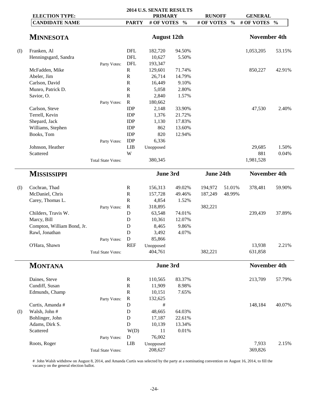|     |                            |                           |                           | <b>2014 U.S. SENATE RESULTS</b> |               |               |               |                     |        |
|-----|----------------------------|---------------------------|---------------------------|---------------------------------|---------------|---------------|---------------|---------------------|--------|
|     | <b>ELECTION TYPE:</b>      |                           |                           | <b>PRIMARY</b>                  |               | <b>RUNOFF</b> |               | <b>GENERAL</b>      |        |
|     | <b>CANDIDATE NAME</b>      |                           | <b>PARTY</b>              | # OF VOTES                      | $\frac{0}{0}$ | # OF VOTES    | $\frac{0}{0}$ | # OF VOTES %        |        |
|     | <b>MINNESOTA</b>           |                           |                           | <b>August 12th</b>              |               |               |               | <b>November 4th</b> |        |
| (I) | Franken, Al                |                           | <b>DFL</b>                | 182,720                         | 94.50%        |               |               | 1,053,205           | 53.15% |
|     | Henningsgard, Sandra       |                           | <b>DFL</b>                | 10,627                          | 5.50%         |               |               |                     |        |
|     |                            | Party Votes:              | DFL                       | 193,347                         |               |               |               |                     |        |
|     | McFadden, Mike             |                           | ${\bf R}$                 | 129,601                         | 71.74%        |               |               | 850,227             | 42.91% |
|     | Abeler, Jim                |                           | ${\bf R}$                 | 26,714                          | 14.79%        |               |               |                     |        |
|     | Carlson, David             |                           | ${\bf R}$                 | 16,449                          | 9.10%         |               |               |                     |        |
|     | Munro, Patrick D.          |                           | ${\bf R}$                 | 5,058                           | 2.80%         |               |               |                     |        |
|     | Savior, O.                 |                           | ${\bf R}$                 | 2,840                           | 1.57%         |               |               |                     |        |
|     |                            | Party Votes:              | ${\bf R}$                 | 180,662                         |               |               |               |                     |        |
|     | Carlson, Steve             |                           | IDP                       | 2,148                           | 33.90%        |               |               | 47,530              | 2.40%  |
|     | Terrell, Kevin             |                           | IDP                       | 1,376                           | 21.72%        |               |               |                     |        |
|     | Shepard, Jack              |                           | IDP                       | 1,130                           | 17.83%        |               |               |                     |        |
|     | Williams, Stephen          |                           | <b>IDP</b>                | 862                             | 13.60%        |               |               |                     |        |
|     | Books, Tom                 |                           | IDP                       | 820                             | 12.94%        |               |               |                     |        |
|     |                            | Party Votes:              | IDP                       | 6,336                           |               |               |               |                     |        |
|     | Johnson, Heather           |                           | <b>LIB</b>                | Unopposed                       |               |               |               | 29,685              | 1.50%  |
|     | Scattered                  |                           | W                         |                                 |               |               |               | 881                 | 0.04%  |
|     |                            | <b>Total State Votes:</b> |                           | 380,345                         |               |               |               | 1,981,528           |        |
|     | <b>MISSISSIPPI</b>         |                           |                           | June 3rd                        |               | June 24th     |               | <b>November 4th</b> |        |
| (I) | Cochran, Thad              |                           | $\mathbb{R}$              | 156,313                         | 49.02%        | 194,972       | 51.01%        | 378,481             | 59.90% |
|     | McDaniel, Chris            |                           | ${\bf R}$                 | 157,728                         | 49.46%        | 187,249       | 48.99%        |                     |        |
|     | Carey, Thomas L.           |                           | ${\bf R}$                 | 4,854                           | 1.52%         |               |               |                     |        |
|     |                            | Party Votes:              | $\mathbf R$               | 318,895                         |               | 382,221       |               |                     |        |
|     | Childers, Travis W.        |                           | D                         | 63,548                          | 74.01%        |               |               | 239,439             | 37.89% |
|     | Marcy, Bill                |                           | D                         | 10,361                          | 12.07%        |               |               |                     |        |
|     | Compton, William Bond, Jr. |                           | D                         | 8,465                           | 9.86%         |               |               |                     |        |
|     | Rawl, Jonathan             |                           | D                         | 3,492                           | 4.07%         |               |               |                     |        |
|     |                            | Party Votes:              | D                         | 85,866                          |               |               |               |                     |        |
|     | O'Hara, Shawn              |                           | <b>REF</b>                | Unopposed                       |               |               |               | 13,938              | 2.21%  |
|     |                            | <b>Total State Votes:</b> |                           | 404,761                         |               | 382,221       |               | 631,858             |        |
|     | <b>MONTANA</b>             |                           |                           | June 3rd                        |               |               |               | <b>November 4th</b> |        |
|     |                            |                           |                           |                                 |               |               |               |                     |        |
|     | Daines, Steve              |                           | $\mathbf R$               | 110,565                         | 83.37%        |               |               | 213,709             | 57.79% |
|     | Cundiff, Susan             |                           | ${\bf R}$                 | 11,909                          | 8.98%         |               |               |                     |        |
|     | Edmunds, Champ             |                           | ${\bf R}$                 | 10,151                          | 7.65%         |               |               |                     |        |
|     |                            | Party Votes:              | $\mathbf R$               | 132,625                         |               |               |               |                     |        |
|     | Curtis, Amanda#            |                           | $\mathbf D$               | #                               |               |               |               | 148,184             | 40.07% |
| (I) | Walsh, John #              |                           | D                         | 48,665                          | 64.03%        |               |               |                     |        |
|     | Bohlinger, John            |                           | D                         | 17,187                          | 22.61%        |               |               |                     |        |
|     | Adams, Dirk S.             |                           | D                         | 10,139                          | 13.34%        |               |               |                     |        |
|     | Scattered                  |                           | W(D)                      | 11                              | 0.01%         |               |               |                     |        |
|     |                            |                           |                           |                                 |               |               |               |                     |        |
|     |                            |                           |                           |                                 |               |               |               |                     |        |
|     | Roots, Roger               | Party Votes:              | $\mathbf D$<br><b>LIB</b> | 76,002<br>Unopposed             |               |               |               | 7,933               | 2.15%  |

# John Walsh withdrew on August 8, 2014, and Amanda Curtis was selected by the party at a nominating convention on August 16, 2014, to fill the vacancy on the general election ballot.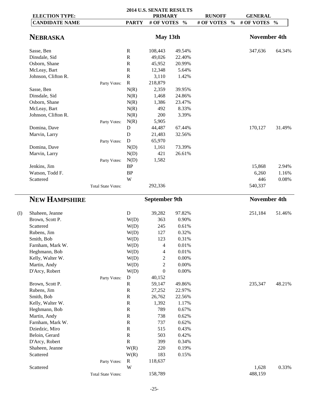| <b>ELECTION TYPE:</b> |                           |                         | 2014 U.S. SENATE RESULTS<br><b>PRIMARY</b> |               | <b>RUNOFF</b>               | <b>GENERAL</b>      |               |
|-----------------------|---------------------------|-------------------------|--------------------------------------------|---------------|-----------------------------|---------------------|---------------|
| <b>CANDIDATE NAME</b> |                           | <b>PARTY</b>            | # OF VOTES                                 | $\frac{0}{0}$ | $\frac{0}{0}$<br># OF VOTES | # OF VOTES          | $\frac{0}{0}$ |
|                       |                           |                         |                                            |               |                             |                     |               |
| <b>NEBRASKA</b>       |                           |                         | May 13th                                   |               |                             | <b>November 4th</b> |               |
| Sasse, Ben            |                           | $\mathbb{R}$            | 108,443                                    | 49.54%        |                             | 347,636             | 64.34%        |
| Dinsdale, Sid         |                           | ${\bf R}$               | 49,026                                     | 22.40%        |                             |                     |               |
| Osborn, Shane         |                           | $\mathbb{R}$            | 45,952                                     | 20.99%        |                             |                     |               |
| McLeay, Bart          |                           | ${\bf R}$               | 12,348                                     | 5.64%         |                             |                     |               |
| Johnson, Clifton R.   |                           | ${\bf R}$               | 3,110                                      | 1.42%         |                             |                     |               |
|                       | Party Votes:              | $\mathbf R$             | 218,879                                    |               |                             |                     |               |
| Sasse, Ben            |                           | N(R)                    | 2,359                                      | 39.95%        |                             |                     |               |
| Dinsdale, Sid         |                           | N(R)                    | 1,468                                      | 24.86%        |                             |                     |               |
| Osborn, Shane         |                           | N(R)                    | 1,386                                      | 23.47%        |                             |                     |               |
| McLeay, Bart          |                           | N(R)                    | 492                                        | 8.33%         |                             |                     |               |
| Johnson, Clifton R.   |                           | N(R)                    | 200                                        | 3.39%         |                             |                     |               |
|                       | Party Votes:              | N(R)                    | 5,905                                      |               |                             |                     |               |
| Domina, Dave          |                           | D                       | 44,487                                     | 67.44%        |                             | 170,127             | 31.49%        |
| Marvin, Larry         |                           | D                       | 21,483                                     | 32.56%        |                             |                     |               |
|                       | Party Votes:              | $\mathbf D$             | 65,970                                     |               |                             |                     |               |
| Domina, Dave          |                           | N(D)                    | 1,161                                      | 73.39%        |                             |                     |               |
| Marvin, Larry         |                           | N(D)                    | 421                                        | 26.61%        |                             |                     |               |
|                       | Party Votes:              | N(D)                    | 1,582                                      |               |                             |                     |               |
| Jenkins, Jim          |                           | BP                      |                                            |               |                             | 15,868              | 2.94%         |
| Watson, Todd F.       |                           | BP                      |                                            |               |                             | 6,260               | 1.16%         |
| Scattered             |                           | $\ensuremath{\text{W}}$ |                                            |               |                             | 446                 | 0.08%         |
|                       | <b>Total State Votes:</b> |                         | 292,336                                    |               |                             | 540,337             |               |
| <b>NEW HAMPSHIRE</b>  |                           |                         | <b>September 9th</b>                       |               |                             | <b>November 4th</b> |               |
| Shaheen, Jeanne       |                           | ${\bf D}$               | 39,282                                     | 97.82%        |                             | 251,184             | 51.46%        |
| Brown, Scott P.       |                           | W(D)                    | 363                                        | 0.90%         |                             |                     |               |
| Scattered             |                           | W(D)                    | 245                                        | 0.61%         |                             |                     |               |
| Rubens, Jim           |                           | W(D)                    | 127                                        | 0.32%         |                             |                     |               |
| Smith, Bob            |                           | W(D)                    | 123                                        | 0.31%         |                             |                     |               |
| Farnham, Mark W.      |                           | W(D)                    | 4                                          | $0.01\%$      |                             |                     |               |
| Heghmann, Bob         |                           | W(D)                    | 4                                          | 0.01%         |                             |                     |               |
| Kelly, Walter W.      |                           | W(D)                    | $\overline{c}$                             | $0.00\%$      |                             |                     |               |
| Martin, Andy          |                           | W(D)                    | $\boldsymbol{2}$                           | $0.00\%$      |                             |                     |               |
| D'Arcy, Robert        |                           | W(D)                    | $\boldsymbol{0}$                           | $0.00\%$      |                             |                     |               |
|                       | Party Votes:              | ${\bf D}$               | 40,152                                     |               |                             |                     |               |
| Brown, Scott P.       |                           | $\mathbf R$             | 59,147                                     | 49.86%        |                             | 235,347             | 48.21%        |
| Rubens, Jim           |                           | ${\bf R}$               | 27,252                                     | 22.97%        |                             |                     |               |
| Smith, Bob            |                           | ${\bf R}$               | 26,762                                     | 22.56%        |                             |                     |               |
| Kelly, Walter W.      |                           | ${\bf R}$               | 1,392                                      | 1.17%         |                             |                     |               |
| Heghmann, Bob         |                           | ${\bf R}$               | 789                                        | 0.67%         |                             |                     |               |
| Martin, Andy          |                           | ${\bf R}$               | 738                                        | 0.62%         |                             |                     |               |
| Farnham, Mark W.      |                           | ${\bf R}$               | 737                                        | 0.62%         |                             |                     |               |
| Dziedzic, Miro        |                           | ${\bf R}$               | 515                                        | 0.43%         |                             |                     |               |
| Beloin, Gerard        |                           | ${\bf R}$               | 503                                        | 0.42%         |                             |                     |               |
| D'Arcy, Robert        |                           | ${\bf R}$               | 399                                        | 0.34%         |                             |                     |               |
| Shaheen, Jeanne       |                           | W(R)                    | 220                                        | 0.19%         |                             |                     |               |
| Scattered             |                           | W(R)                    | 183                                        | 0.15%         |                             |                     |               |
|                       | Party Votes:              | $\mathbf R$             | 118,637                                    |               |                             |                     |               |
| Scattered             |                           | W                       |                                            |               |                             | 1,628               | 0.33%         |
|                       | <b>Total State Votes:</b> |                         | 158,789                                    |               |                             | 488,159             |               |
|                       |                           |                         |                                            |               |                             |                     |               |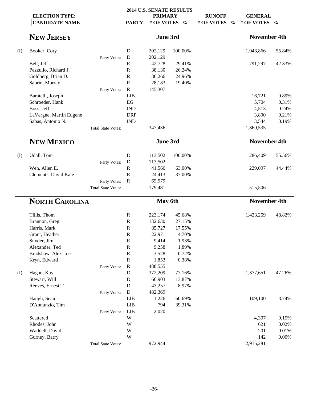|                                                |                           |              |                                | 2014 U.S. SENATE RESULTS |                               |                                | 42.33%<br>0.89%<br>0.31%<br>0.24%<br>0.21%<br>0.19%<br>55.56%<br>44.44%<br>48.82% |  |  |  |
|------------------------------------------------|---------------------------|--------------|--------------------------------|--------------------------|-------------------------------|--------------------------------|-----------------------------------------------------------------------------------|--|--|--|
| <b>ELECTION TYPE:</b><br><b>CANDIDATE NAME</b> |                           | <b>PARTY</b> | <b>PRIMARY</b><br># OF VOTES % |                          | <b>RUNOFF</b><br># OF VOTES % | <b>GENERAL</b><br># OF VOTES % |                                                                                   |  |  |  |
|                                                |                           |              |                                |                          |                               |                                |                                                                                   |  |  |  |
| <b>NEW JERSEY</b>                              |                           |              | June 3rd                       |                          |                               | <b>November 4th</b>            |                                                                                   |  |  |  |
| Booker, Cory                                   |                           | D            | 202,129                        | 100.00%                  |                               | 1,043,866                      | 55.84%                                                                            |  |  |  |
|                                                | Party Votes:              | D            | 202,129                        |                          |                               |                                |                                                                                   |  |  |  |
| Bell, Jeff                                     |                           | $\mathbf R$  | 42,728                         | 29.41%                   |                               | 791,297                        |                                                                                   |  |  |  |
| Pezzullo, Richard J.                           |                           | ${\bf R}$    | 38,130                         | 26.24%                   |                               |                                |                                                                                   |  |  |  |
| Goldberg, Brian D.                             |                           | ${\bf R}$    | 36,266                         | 24.96%                   |                               |                                |                                                                                   |  |  |  |
| Sabrin, Murray                                 |                           | $\mathbb{R}$ | 28,183                         | 19.40%                   |                               |                                |                                                                                   |  |  |  |
|                                                | Party Votes:              | $\mathbf R$  | 145,307                        |                          |                               |                                |                                                                                   |  |  |  |
| Baratelli, Joseph                              |                           | LIB          |                                |                          |                               | 16,721                         |                                                                                   |  |  |  |
| Schroeder, Hank                                |                           | EG           |                                |                          |                               | 5,704                          |                                                                                   |  |  |  |
| Boss, Jeff                                     |                           | <b>IND</b>   |                                |                          |                               | 4,513                          |                                                                                   |  |  |  |
| LaVergne, Martin Eugene                        |                           | <b>DRP</b>   |                                |                          |                               | 3,890                          |                                                                                   |  |  |  |
| Sabas, Antonio N.                              |                           | <b>IND</b>   |                                |                          |                               | 3,544                          |                                                                                   |  |  |  |
|                                                | <b>Total State Votes:</b> |              | 347,436                        |                          |                               | 1,869,535                      |                                                                                   |  |  |  |
| <b>NEW MEXICO</b>                              |                           |              | June 3rd                       |                          |                               | <b>November 4th</b>            |                                                                                   |  |  |  |
| Udall, Tom                                     |                           | D            | 113,502                        | 100.00%                  |                               | 286,409                        |                                                                                   |  |  |  |
|                                                | Party Votes:              | $\mathbf D$  | 113,502                        |                          |                               |                                |                                                                                   |  |  |  |
| Weh, Allen E.                                  |                           | $\mathbb{R}$ | 41,566                         | 63.00%                   |                               | 229,097                        |                                                                                   |  |  |  |
| Clements, David Kale                           |                           | ${\bf R}$    | 24,413                         | 37.00%                   |                               |                                |                                                                                   |  |  |  |
|                                                | Party Votes:              | $\mathbf R$  | 65,979                         |                          |                               |                                |                                                                                   |  |  |  |
|                                                | <b>Total State Votes:</b> |              | 179,481                        |                          |                               | 515,506                        |                                                                                   |  |  |  |
| <b>NORTH CAROLINA</b>                          |                           |              | May 6th                        |                          |                               | <b>November 4th</b>            |                                                                                   |  |  |  |
| Tillis, Thom                                   |                           | $\mathbf R$  | 223,174                        | 45.68%                   |                               | 1,423,259                      |                                                                                   |  |  |  |
| Brannon, Greg                                  |                           | $\mathbb{R}$ | 132,630                        | 27.15%                   |                               |                                |                                                                                   |  |  |  |
| Harris, Mark                                   |                           | $\mathbb{R}$ | 85,727                         | 17.55%                   |                               |                                |                                                                                   |  |  |  |
| Grant, Heather                                 |                           | ${\bf R}$    | 22,971                         | 4.70%                    |                               |                                |                                                                                   |  |  |  |
| Snyder, Jim                                    |                           | ${\bf R}$    | 9,414                          | 1.93%                    |                               |                                |                                                                                   |  |  |  |
| Alexander, Ted                                 |                           | ${\bf R}$    | 9,258                          | 1.89%                    |                               |                                |                                                                                   |  |  |  |
| Bradshaw, Alex Lee                             |                           | $\mathbf R$  | 3,528                          | 0.72%                    |                               |                                |                                                                                   |  |  |  |
| Kryn, Edward                                   |                           | ${\bf R}$    | 1,853                          | 0.38%                    |                               |                                |                                                                                   |  |  |  |
|                                                | Party Votes:              | $\mathbf R$  | 488,555                        |                          |                               |                                |                                                                                   |  |  |  |
| Hagan, Kay                                     |                           | ${\bf D}$    | 372,209                        | 77.16%                   |                               | 1,377,651                      | 47.26%                                                                            |  |  |  |
| Stewart, Will                                  |                           | ${\bf D}$    | 66,903                         | 13.87%                   |                               |                                |                                                                                   |  |  |  |
| Reeves, Ernest T.                              |                           | $\mathbf D$  | 43,257                         | 8.97%                    |                               |                                |                                                                                   |  |  |  |
|                                                | Party Votes:              | ${\bf D}$    | 482,369                        |                          |                               |                                |                                                                                   |  |  |  |
| Haugh, Sean                                    |                           | LIB          | 1,226                          | 60.69%                   |                               | 109,100                        | 3.74%                                                                             |  |  |  |
| D'Annunzio, Tim                                |                           | LIB          | 794                            | 39.31%                   |                               |                                |                                                                                   |  |  |  |
|                                                | Party Votes:              | LIB          | 2,020                          |                          |                               |                                |                                                                                   |  |  |  |
| Scattered                                      |                           | W            |                                |                          |                               | 4,307                          | 0.15%                                                                             |  |  |  |
| Rhodes, John                                   |                           | W            |                                |                          |                               | 621                            | 0.02%                                                                             |  |  |  |
| Waddell, David                                 |                           | W            |                                |                          |                               | 201                            | 0.01%                                                                             |  |  |  |
| Gurney, Barry                                  |                           | W            |                                |                          |                               | 142                            | $0.00\%$                                                                          |  |  |  |
|                                                | <b>Total State Votes:</b> |              | 972,944                        |                          |                               | 2,915,281                      |                                                                                   |  |  |  |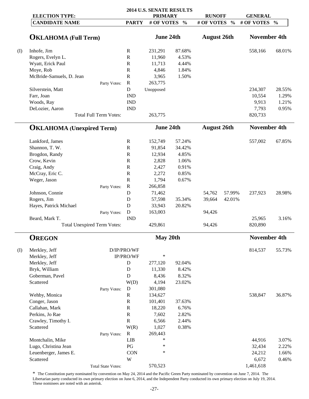|     | <b>ELECTION TYPE:</b>              |              | 2014 U.S. SENATE RESULTS<br><b>PRIMARY</b> |               | <b>RUNOFF</b>      |               | <b>GENERAL</b>      |               |
|-----|------------------------------------|--------------|--------------------------------------------|---------------|--------------------|---------------|---------------------|---------------|
|     | <b>CANDIDATE NAME</b>              | <b>PARTY</b> | # OF VOTES                                 | $\frac{0}{0}$ | # OF VOTES         | $\frac{0}{0}$ | # OF VOTES          | $\frac{0}{0}$ |
|     |                                    |              |                                            |               |                    |               |                     |               |
|     | <b>OKLAHOMA</b> (Full Term)        |              | June 24th                                  |               | <b>August 26th</b> |               | <b>November 4th</b> |               |
| (I) | Inhofe, Jim                        | $\mathbf R$  | 231,291                                    | 87.68%        |                    |               | 558,166             | 68.01%        |
|     | Rogers, Evelyn L.                  | $\mathbf R$  | 11,960                                     | 4.53%         |                    |               |                     |               |
|     | Wyatt, Erick Paul                  | $\mathbb{R}$ | 11,713                                     | 4.44%         |                    |               |                     |               |
|     | Moye, Rob                          | $\mathbf R$  | 4,846                                      | 1.84%         |                    |               |                     |               |
|     | McBride-Samuels, D. Jean           | $\mathbf R$  | 3,965                                      | 1.50%         |                    |               |                     |               |
|     | Party Votes:                       | $\mathbf R$  | 263,775                                    |               |                    |               |                     |               |
|     | Silverstein, Matt                  | ${\bf D}$    | Unopposed                                  |               |                    |               | 234,307             | 28.55%        |
|     | Farr, Joan                         | <b>IND</b>   |                                            |               |                    |               | 10,554              | 1.29%         |
|     | Woods, Ray                         | <b>IND</b>   |                                            |               |                    |               | 9,913               | 1.21%         |
|     | DeLozier, Aaron                    | <b>IND</b>   |                                            |               |                    |               | 7,793               | 0.95%         |
|     | <b>Total Full Term Votes:</b>      |              | 263,775                                    |               |                    |               | 820,733             |               |
|     | <b>OKLAHOMA</b> (Unexpired Term)   |              | June 24th                                  |               | <b>August 26th</b> |               | <b>November 4th</b> |               |
|     |                                    |              |                                            |               |                    |               |                     |               |
|     | Lankford, James                    | $\mathbf R$  | 152,749                                    | 57.24%        |                    |               | 557,002             | 67.85%        |
|     | Shannon, T. W.                     | $\mathbf R$  | 91,854                                     | 34.42%        |                    |               |                     |               |
|     | Brogdon, Randy                     | $\mathbf R$  | 12,934                                     | 4.85%         |                    |               |                     |               |
|     | Crow, Kevin                        | $\mathbf R$  | 2,828                                      | 1.06%         |                    |               |                     |               |
|     | Craig, Andy                        | $\mathbf R$  | 2,427                                      | 0.91%         |                    |               |                     |               |
|     | McCray, Eric C.                    | $\mathbf R$  | 2,272                                      | 0.85%         |                    |               |                     |               |
|     | Weger, Jason                       | $\mathbf R$  | 1,794                                      | 0.67%         |                    |               |                     |               |
|     | Party Votes:                       | $\mathbf R$  | 266,858                                    |               |                    |               |                     |               |
|     | Johnson, Connie                    | D            | 71,462                                     |               | 54,762             | 57.99%        | 237,923             | 28.98%        |
|     | Rogers, Jim                        | D            | 57,598                                     | 35.34%        | 39,664             | 42.01%        |                     |               |
|     | Hayes, Patrick Michael             | D            | 33,943                                     | 20.82%        |                    |               |                     |               |
|     | Party Votes:                       | ${\bf D}$    | 163,003                                    |               | 94,426             |               |                     |               |
|     | Beard, Mark T.                     | <b>IND</b>   |                                            |               |                    |               | 25,965              | 3.16%         |
|     | <b>Total Unexpired Term Votes:</b> |              | 429,861                                    |               | 94,426             |               | 820,890             |               |
|     | <b>OREGON</b>                      |              | May 20th                                   |               |                    |               | <b>November 4th</b> |               |
| (I) | Merkley, Jeff                      | D/IP/PRO/WF  |                                            |               |                    |               | 814,537             | 55.73%        |
|     | Merkley, Jeff                      | IP/PRO/WF    | $\ast$                                     |               |                    |               |                     |               |
|     | Merkley, Jeff                      | D            | 277,120                                    | 92.04%        |                    |               |                     |               |
|     | Bryk, William                      | D            | 11,330                                     | 8.42%         |                    |               |                     |               |
|     | Goberman, Pavel                    | D            | 8,436                                      | 8.32%         |                    |               |                     |               |
|     | Scattered                          | W(D)         | 4,194                                      | 23.02%        |                    |               |                     |               |
|     | Party Votes:                       | D            | 301,080                                    |               |                    |               |                     |               |
|     | Wehby, Monica                      | $\mathbb{R}$ | 134,627                                    |               |                    |               | 538,847             | 36.87%        |
|     | Conger, Jason                      | ${\bf R}$    | 101,401                                    | 37.63%        |                    |               |                     |               |
|     | Callahan, Mark                     | ${\bf R}$    | 18,220                                     | 6.76%         |                    |               |                     |               |
|     | Perkins, Jo Rae                    | ${\bf R}$    | 7,602                                      | 2.82%         |                    |               |                     |               |
|     | Crawley, Timothy I.                | ${\bf R}$    | 6,566                                      | 2.44%         |                    |               |                     |               |
|     | Scattered                          | W(R)         | 1,027                                      | 0.38%         |                    |               |                     |               |
|     | Party Votes:                       | ${\bf R}$    | 269,443                                    |               |                    |               |                     |               |
|     | Montchalin, Mike                   | <b>LIB</b>   | $\ast$                                     |               |                    |               | 44,916              | 3.07%         |
|     | Lugo, Christina Jean               | PG           | $\ast$                                     |               |                    |               | 32,434              | 2.22%         |
|     | Leuenberger, James E.              | <b>CON</b>   | $\ast$                                     |               |                    |               | 24,212              | 1.66%         |
|     | Scattered                          | W            |                                            |               |                    |               | 6,672               | 0.46%         |
|     | <b>Total State Votes:</b>          |              | 570,523                                    |               |                    |               | 1,461,618           |               |

\* The Constitution party nominated by convention on May 24, 2014 and the Pacific Green Party nominated by convention on June 7, 2014. The Libertarian party conducted its own primary election on June 6, 2014, and the Independent Party conducted its own primary election on July 19, 2014. These nominees are noted with an asterisk.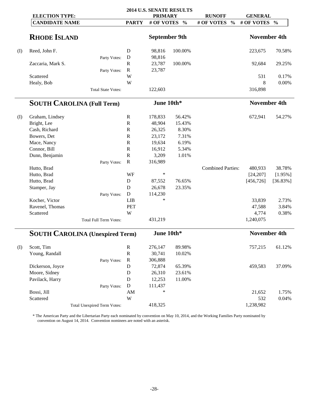|     |                                        |                         |                      | 2014 U.S. SENATE RESULTS |                             |                     |               |
|-----|----------------------------------------|-------------------------|----------------------|--------------------------|-----------------------------|---------------------|---------------|
|     | <b>ELECTION TYPE:</b>                  |                         | <b>PRIMARY</b>       |                          | <b>RUNOFF</b>               | <b>GENERAL</b>      |               |
|     | <b>CANDIDATE NAME</b>                  | <b>PARTY</b>            | # OF VOTES           | $\frac{0}{0}$            | # OF VOTES<br>$\frac{0}{0}$ | # OF VOTES          | $\frac{0}{0}$ |
|     |                                        |                         |                      |                          |                             |                     |               |
|     | <b>RHODE ISLAND</b>                    |                         | <b>September 9th</b> |                          |                             | <b>November 4th</b> |               |
| (I) | Reed, John F.                          | D                       | 98,816               | 100.00%                  |                             | 223,675             | 70.58%        |
|     | Party Votes:                           | $\mathbf D$             | 98,816               |                          |                             |                     |               |
|     | Zaccaria, Mark S.                      | $\mathbf R$             | 23,787               | 100.00%                  |                             | 92,684              | 29.25%        |
|     | Party Votes:                           | $\mathbf R$             | 23,787               |                          |                             |                     |               |
|     | Scattered                              | W                       |                      |                          |                             | 531                 | 0.17%         |
|     | Healy, Bob                             | W                       |                      |                          |                             | 8                   | 0.00%         |
|     | <b>Total State Votes:</b>              |                         | 122,603              |                          |                             | 316,898             |               |
|     | <b>SOUTH CAROLINA (Full Term)</b>      |                         | June 10th*           |                          |                             | <b>November 4th</b> |               |
|     |                                        |                         |                      |                          |                             |                     |               |
| (I) | Graham, Lindsey                        | $\mathbb{R}$            | 178,833              | 56.42%                   |                             | 672,941             | 54.27%        |
|     | Bright, Lee                            | ${\bf R}$               | 48,904               | 15.43%                   |                             |                     |               |
|     | Cash, Richard                          | $\mathbb{R}$            | 26,325               | 8.30%                    |                             |                     |               |
|     | Bowers, Det                            | ${\bf R}$               | 23,172               | 7.31%                    |                             |                     |               |
|     | Mace, Nancy                            | $\mathbb{R}$            | 19,634               | 6.19%                    |                             |                     |               |
|     | Connor, Bill                           | $\mathbb{R}$            | 16,912               | 5.34%                    |                             |                     |               |
|     | Dunn, Benjamin                         | ${\bf R}$               | 3,209                | 1.01%                    |                             |                     |               |
|     | Party Votes:                           | $\mathbf R$             | 316,989              |                          |                             |                     |               |
|     | Hutto, Brad                            |                         |                      |                          | <b>Combined Parties:</b>    | 480,933             | 38.78%        |
|     | Hutto, Brad                            | WF                      | $\ast$               |                          |                             | [24, 207]           | $[1.95\%]$    |
|     | Hutto, Brad                            | $\mathbf D$             | 87,552               | 76.65%                   |                             | [456, 726]          | $[36.83\%]$   |
|     | Stamper, Jay                           | D                       | 26,678               | 23.35%                   |                             |                     |               |
|     | Party Votes:                           | $\mathbf D$             | 114,230              |                          |                             |                     |               |
|     | Kocher, Victor                         | <b>LIB</b>              | $\ast$               |                          |                             | 33,839              | 2.73%         |
|     | Ravenel, Thomas                        | <b>PET</b>              |                      |                          |                             | 47,588              | 3.84%         |
|     | Scattered                              | W                       |                      |                          |                             | 4,774               | 0.38%         |
|     | Total Full Term Votes:                 |                         | 431,219              |                          |                             | 1,240,075           |               |
|     | <b>SOUTH CAROLINA (Unexpired Term)</b> |                         | June 10th*           |                          |                             | <b>November 4th</b> |               |
|     | Scott, Tim                             | ${\bf R}$               | 276,147              | 89.98%                   |                             | 757,215             | 61.12%        |
| (I) | Young, Randall                         | ${\bf R}$               | 30,741               | 10.02%                   |                             |                     |               |
|     |                                        | ${\bf R}$               | 306,888              |                          |                             |                     |               |
|     | Party Votes:<br>Dickerson, Joyce       | $\mathbf D$             | 72,874               | 65.39%                   |                             | 459,583             | 37.09%        |
|     | Moore, Sidney                          | $\mathbf D$             | 26,310               | 23.61%                   |                             |                     |               |
|     | Pavilack, Harry                        | $\mathbf D$             |                      | 11.00%                   |                             |                     |               |
|     |                                        | D                       | 12,253               |                          |                             |                     |               |
|     | Party Votes:                           |                         | 111,437<br>$\ast$    |                          |                             |                     |               |
|     | Bossi, Jill                            | $\mathbf{A}\mathbf{M}$  |                      |                          |                             | 21,652              | 1.75%         |
|     | Scattered                              | $\ensuremath{\text{W}}$ |                      |                          |                             | 532                 | 0.04%         |
|     | <b>Total Unexpired Term Votes:</b>     |                         | 418,325              |                          |                             | 1,238,982           |               |

\* The American Party and the Libertarian Party each nominated by convention on May 10, 2014, and the Working Families Party nominated by convention on August 14, 2014. Convention nominees are noted with an asterisk.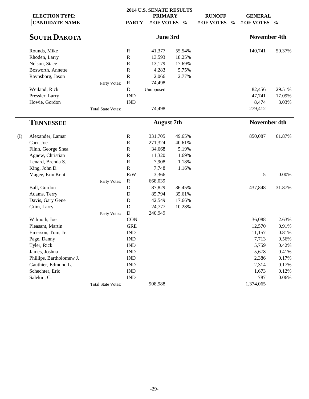| <b>ELECTION TYPE:</b>    |                           |              | 2014 U.S. SENATE RESULTS<br><b>PRIMARY</b> |               | <b>RUNOFF</b>               | <b>GENERAL</b>      |               |
|--------------------------|---------------------------|--------------|--------------------------------------------|---------------|-----------------------------|---------------------|---------------|
| <b>CANDIDATE NAME</b>    |                           | <b>PARTY</b> | # OF VOTES                                 | $\frac{0}{0}$ | # OF VOTES<br>$\frac{0}{0}$ | # OF VOTES          | $\frac{0}{0}$ |
| <b>SOUTH DAKOTA</b>      |                           |              | June 3rd                                   |               |                             | <b>November 4th</b> |               |
| Rounds, Mike             |                           | $\mathbf R$  | 41,377                                     | 55.54%        |                             | 140,741             | 50.37%        |
| Rhoden, Larry            |                           | ${\bf R}$    | 13,593                                     | 18.25%        |                             |                     |               |
| Nelson, Stace            |                           | $\mathbf R$  | 13,179                                     | 17.69%        |                             |                     |               |
| Bosworth, Annette        |                           | ${\bf R}$    | 4,283                                      | 5.75%         |                             |                     |               |
| Ravnsborg, Jason         |                           | ${\bf R}$    | 2,066                                      | 2.77%         |                             |                     |               |
|                          | Party Votes:              | ${\bf R}$    | 74,498                                     |               |                             |                     |               |
| Weiland, Rick            |                           | $\mathbf D$  | Unopposed                                  |               |                             | 82,456              | 29.51%        |
| Pressler, Larry          |                           | <b>IND</b>   |                                            |               |                             | 47,741              | 17.09%        |
| Howie, Gordon            |                           | <b>IND</b>   |                                            |               |                             | 8,474               | 3.03%         |
|                          | <b>Total State Votes:</b> |              | 74,498                                     |               |                             | 279,412             |               |
| <b>TENNESSEE</b>         |                           |              | <b>August</b> 7th                          |               |                             | <b>November 4th</b> |               |
| Alexander, Lamar         |                           | $\mathbf R$  | 331,705                                    | 49.65%        |                             | 850,087             | 61.87%        |
| Carr, Joe                |                           | ${\bf R}$    | 271,324                                    | 40.61%        |                             |                     |               |
| Flinn, George Shea       |                           | ${\bf R}$    | 34,668                                     | 5.19%         |                             |                     |               |
| Agnew, Christian         |                           | ${\bf R}$    | 11,320                                     | 1.69%         |                             |                     |               |
| Lenard, Brenda S.        |                           | ${\bf R}$    | 7,908                                      | 1.18%         |                             |                     |               |
| King, John D.            |                           | $\mathbf R$  | 7,748                                      | 1.16%         |                             |                     |               |
| Magee, Erin Kent         |                           | R/W          | 3,366                                      |               |                             | 5                   | 0.00%         |
|                          | Party Votes:              | $\mathbf R$  | 668,039                                    |               |                             |                     |               |
| Ball, Gordon             |                           | $\mathbf D$  | 87,829                                     | 36.45%        |                             | 437,848             | 31.87%        |
| Adams, Terry             |                           | D            | 85,794                                     | 35.61%        |                             |                     |               |
| Davis, Gary Gene         |                           | $\mathbf D$  | 42,549                                     | 17.66%        |                             |                     |               |
| Crim, Larry              |                           | $\mathbf D$  | 24,777                                     | 10.28%        |                             |                     |               |
|                          | Party Votes:              | ${\bf D}$    | 240,949                                    |               |                             |                     |               |
| Wilmoth, Joe             |                           | <b>CON</b>   |                                            |               |                             | 36,088              | 2.63%         |
| Pleasant, Martin         |                           | <b>GRE</b>   |                                            |               |                             | 12,570              | 0.91%         |
| Emerson, Tom, Jr.        |                           | <b>IND</b>   |                                            |               |                             | 11,157              | 0.81%         |
| Page, Danny              |                           | <b>IND</b>   |                                            |               |                             | 7,713               | 0.56%         |
| Tyler, Rick              |                           | <b>IND</b>   |                                            |               |                             | 5,759               | 0.42%         |
| James, Joshua            |                           | <b>IND</b>   |                                            |               |                             | 5,678               | 0.41%         |
| Phillips, Bartholomew J. |                           | <b>IND</b>   |                                            |               |                             | 2,386               | 0.17%         |
| Gauthier, Edmund L.      |                           | <b>IND</b>   |                                            |               |                             | 2,314               | 0.17%         |
| Schechter, Eric          |                           | <b>IND</b>   |                                            |               |                             | 1,673               | 0.12%         |
| Salekin, C.              |                           | <b>IND</b>   |                                            |               |                             | 787                 | 0.06%         |
|                          | <b>Total State Votes:</b> |              | 908,988                                    |               |                             | 1,374,065           |               |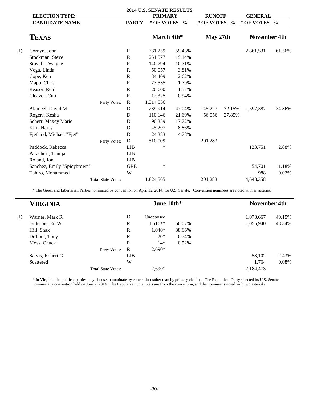|     |                             |                           |              | <b>2014 U.S. SENATE RESULTS</b> |               |               |               |                     |               |
|-----|-----------------------------|---------------------------|--------------|---------------------------------|---------------|---------------|---------------|---------------------|---------------|
|     | <b>ELECTION TYPE:</b>       |                           |              | <b>PRIMARY</b>                  |               | <b>RUNOFF</b> |               | <b>GENERAL</b>      |               |
|     | <b>CANDIDATE NAME</b>       |                           | <b>PARTY</b> | # OF VOTES                      | $\frac{6}{6}$ | # OF VOTES    | $\frac{0}{0}$ | # OF VOTES          | $\frac{0}{0}$ |
|     | <b>TEXAS</b>                |                           |              | March 4th*                      |               | May 27th      |               | <b>November 4th</b> |               |
| (I) | Cornyn, John                |                           | $\mathbb{R}$ | 781,259                         | 59.43%        |               |               | 2,861,531           | 61.56%        |
|     | Stockman, Steve             |                           | $\mathbb{R}$ | 251,577                         | 19.14%        |               |               |                     |               |
|     | Stovall, Dwayne             |                           | $\mathbb{R}$ | 140,794                         | 10.71%        |               |               |                     |               |
|     | Vega, Linda                 |                           | $\mathbb{R}$ | 50,057                          | 3.81%         |               |               |                     |               |
|     | Cope, Ken                   |                           | $\mathbb{R}$ | 34,409                          | 2.62%         |               |               |                     |               |
|     | Mapp, Chris                 |                           | $\mathbb{R}$ | 23,535                          | 1.79%         |               |               |                     |               |
|     | Reasor, Reid                |                           | ${\bf R}$    | 20,600                          | 1.57%         |               |               |                     |               |
|     | Cleaver, Curt               |                           | ${\bf R}$    | 12,325                          | 0.94%         |               |               |                     |               |
|     |                             | Party Votes:              | $\mathbb{R}$ | 1,314,556                       |               |               |               |                     |               |
|     | Alameel, David M.           |                           | D            | 239,914                         | 47.04%        | 145,227       | 72.15%        | 1,597,387           | 34.36%        |
|     | Rogers, Kesha               |                           | D            | 110,146                         | 21.60%        | 56,056        | 27.85%        |                     |               |
|     | Scherr, Maxey Marie         |                           | D            | 90,359                          | 17.72%        |               |               |                     |               |
|     | Kim, Harry                  |                           | D            | 45,207                          | 8.86%         |               |               |                     |               |
|     | Fjetland, Michael "Fjet"    |                           | D            | 24,383                          | 4.78%         |               |               |                     |               |
|     |                             | Party Votes:              | D            | 510,009                         |               | 201,283       |               |                     |               |
|     | Paddock, Rebecca            |                           | LIB          | $\ast$                          |               |               |               | 133,751             | 2.88%         |
|     | Parachuri, Tanuja           |                           | <b>LIB</b>   |                                 |               |               |               |                     |               |
|     | Roland, Jon                 |                           | <b>LIB</b>   |                                 |               |               |               |                     |               |
|     | Sanchez, Emily "Spicybrown" |                           | <b>GRE</b>   | *                               |               |               |               | 54,701              | 1.18%         |
|     | Tahiro, Mohammed            |                           | W            |                                 |               |               |               | 988                 | 0.02%         |
|     |                             | <b>Total State Votes:</b> |              | 1,824,565                       |               | 201,283       |               | 4,648,358           |               |

\* The Green and Libertarian Parties nominated by convention on April 12, 2014, for U.S. Senate. Convention nominees are noted with an asterisk.

| VIRGINIA |                   |                           |              | June 10th* |        | <b>November 4th</b> |        |  |
|----------|-------------------|---------------------------|--------------|------------|--------|---------------------|--------|--|
| (I)      | Warner, Mark R.   |                           | D            | Unopposed  |        | 1,073,667           | 49.15% |  |
|          | Gillespie, Ed W.  |                           | $\mathbb{R}$ | $1.616**$  | 60.07% | 1,055,940           | 48.34% |  |
|          | Hill, Shak        |                           | $\mathbf R$  | $1.040*$   | 38.66% |                     |        |  |
|          | DeTora, Tony      |                           | $\mathbf R$  | $20*$      | 0.74%  |                     |        |  |
|          | Moss, Chuck       |                           | $\mathbf R$  | $14*$      | 0.52%  |                     |        |  |
|          |                   | Party Votes:              | R            | $2.690*$   |        |                     |        |  |
|          | Sarvis, Robert C. |                           | <b>LIB</b>   |            |        | 53,102              | 2.43%  |  |
|          | Scattered         |                           | W            |            |        | 1,764               | 0.08%  |  |
|          |                   | <b>Total State Votes:</b> |              | $2,690*$   |        | 2,184,473           |        |  |

\* In Virginia, the political parties may choose to nominate by convention rather than by primary election. The Republican Party selected its U.S. Senate nominee at a convention held on June 7, 2014. The Republican vote totals are from the convention, and the nominee is noted with two asterisks.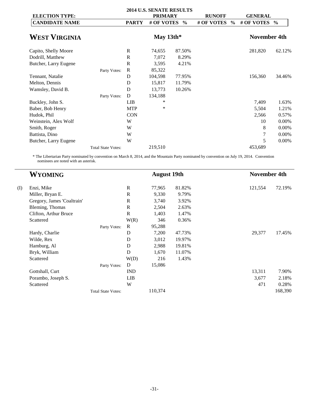|                       |                           |              | <b>2014 U.S. SENATE RESULTS</b> |               |                             |                     |               |
|-----------------------|---------------------------|--------------|---------------------------------|---------------|-----------------------------|---------------------|---------------|
| <b>ELECTION TYPE:</b> |                           |              | <b>PRIMARY</b>                  |               | <b>RUNOFF</b>               | <b>GENERAL</b>      |               |
| <b>CANDIDATE NAME</b> |                           | <b>PARTY</b> | # OF VOTES                      | $\frac{6}{6}$ | # OF VOTES<br>$\frac{6}{9}$ | # OF VOTES          | $\frac{0}{0}$ |
| <b>WEST VIRGINIA</b>  |                           |              | May $13th*$                     |               |                             | <b>November 4th</b> |               |
| Capito, Shelly Moore  |                           | R            | 74,655                          | 87.50%        |                             | 281,820             | 62.12%        |
| Dodrill, Matthew      |                           | R            | 7,072                           | 8.29%         |                             |                     |               |
| Butcher, Larry Eugene |                           | $\mathbb{R}$ | 3,595                           | 4.21%         |                             |                     |               |
|                       | Party Votes:              | $\mathbf R$  | 85,322                          |               |                             |                     |               |
| Tennant, Natalie      |                           | D            | 104,598                         | 77.95%        |                             | 156,360             | 34.46%        |
| Melton, Dennis        |                           | D            | 15,817                          | 11.79%        |                             |                     |               |
| Wamsley, David B.     |                           | D            | 13,773                          | 10.26%        |                             |                     |               |
|                       | Party Votes:              | D            | 134,188                         |               |                             |                     |               |
| Buckley, John S.      |                           | <b>LIB</b>   | ∗                               |               |                             | 7,409               | 1.63%         |
| Baber, Bob Henry      |                           | <b>MTP</b>   | *                               |               |                             | 5,504               | 1.21%         |
| Hudok, Phil           |                           | <b>CON</b>   |                                 |               |                             | 2,566               | 0.57%         |
| Weinstein, Alex Wolf  |                           | W            |                                 |               |                             | 10                  | 0.00%         |
| Smith, Roger          |                           | W            |                                 |               |                             | 8                   | 0.00%         |
| Battista, Dino        |                           | W            |                                 |               |                             |                     | 0.00%         |
| Butcher, Larry Eugene |                           | W            |                                 |               |                             | 5                   | 0.00%         |
|                       | <b>Total State Votes:</b> |              | 219,510                         |               |                             | 453,689             |               |

\* The Libertarian Party nominated by convention on March 8, 2014, and the Mountain Party nominated by convention on July 19, 2014. Convention nominees are noted with an asterisk.

|     | <b>WYOMING</b>             |                           |              |         | <b>August 19th</b> |         |         | <b>November 4th</b> |  |  |
|-----|----------------------------|---------------------------|--------------|---------|--------------------|---------|---------|---------------------|--|--|
| (I) | Enzi, Mike                 |                           | $\mathbb{R}$ | 77,965  | 81.82%             | 121,554 | 72.19%  |                     |  |  |
|     | Miller, Bryan E.           |                           | $\mathbb{R}$ | 9,330   | 9.79%              |         |         |                     |  |  |
|     | Gregory, James 'Coaltrain' |                           | $\mathbb{R}$ | 3,740   | 3.92%              |         |         |                     |  |  |
|     | Bleming, Thomas            |                           | $\mathbb{R}$ | 2,504   | 2.63%              |         |         |                     |  |  |
|     | Clifton, Arthur Bruce      |                           | $\mathbb{R}$ | 1,403   | 1.47%              |         |         |                     |  |  |
|     | Scattered                  |                           | W(R)         | 346     | 0.36%              |         |         |                     |  |  |
|     |                            | Party Votes:              | $\mathbb{R}$ | 95,288  |                    |         |         |                     |  |  |
|     | Hardy, Charlie             |                           | D            | 7,200   | 47.73%             | 29,377  | 17.45%  |                     |  |  |
|     | Wilde, Rex                 |                           | D            | 3,012   | 19.97%             |         |         |                     |  |  |
|     | Hamburg, Al                |                           | D            | 2,988   | 19.81%             |         |         |                     |  |  |
|     | Bryk, William              |                           | D            | 1,670   | 11.07%             |         |         |                     |  |  |
|     | Scattered                  |                           | W(D)         | 216     | 1.43%              |         |         |                     |  |  |
|     |                            | Party Votes:              | D            | 15,086  |                    |         |         |                     |  |  |
|     | Gottshall, Curt            |                           | <b>IND</b>   |         |                    | 13,311  | 7.90%   |                     |  |  |
|     | Porambo, Joseph S.         |                           | <b>LIB</b>   |         |                    | 3,677   | 2.18%   |                     |  |  |
|     | Scattered                  |                           | W            |         |                    | 471     | 0.28%   |                     |  |  |
|     |                            | <b>Total State Votes:</b> |              | 110,374 |                    |         | 168,390 |                     |  |  |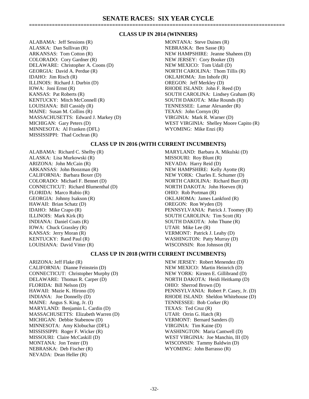## **CLASS UP IN 2014 (WINNERS)**

ALABAMA: Jeff Sessions (R) MONTANA: Steve Daines (R) ALASKA: Dan Sullivan (R) NEBRASKA: Ben Sasse (R) ARKANSAS: Tom Cotton (R) NEW HAMPSHIRE: Jeanne Shaheen (D) COLORADO: Cory Gardner (R) NEW JERSEY: Cory Booker (D) DELAWARE: Christopher A. Coons (D) NEW MEXICO: Tom Udall (D) GEORGIA: David A. Perdue (R) NORTH CAROLINA: Thom Tillis (R) IDAHO: Jim Risch (R) OKLAHOMA: Jim Inhofe (R) ILLINOIS: Richard J. Durbin (D) OREGON: Jeff Merkley (D) IOWA: Joni Ernst (R) RHODE ISLAND: John F. Reed (D) KANSAS: Pat Roberts (R)<br>
KENTUCKY: Mitch McConnell (R) SOUTH DAKOTA: Mike Rounds (R) LOUISIANA: Bill Cassidy (R) TENNESSEE: Lamar Alexander (R) MAINE: Susan M. Collins (R) TEXAS: John Cornyn (R) MASSACHUSETTS: Edward J. Markey (D) VIRGINIA: Mark R. Warner (D) MICHIGAN: Gary Peters (D) WEST VIRGINIA: Shelley Moore Capito (R) MINNESOTA: Al Franken (DFL) WYOMING: Mike Enzi (R) MISSISSIPPI: Thad Cochran (R)

SOUTH DAKOTA: Mike Rounds (R)

## **CLASS UP IN 2016 (WITH CURRENT INCUMBENTS)**

ALABAMA: Richard C. Shelby (R) MARYLAND: Barbara A. Mikulski (D) ALASKA: Lisa Murkowski (R) MISSOURI: Roy Blunt (R) ARIZONA: John McCain (R) NEVADA: Harry Reid (D) ARKANSAS: John Boozman (R) NEW HAMPSHIRE: Kelly Ayotte (R) CALIFORNIA: Barbara Boxer (D) NEW YORK: Charles E. Schumer (D) COLORADO: Michael F. Bennet (D) NORTH CAROLINA: Richard Burr (R) CONNECTICUT: Richard Blumenthal (D) NORTH DAKOTA: John Hoeven (R) FLORIDA: Marco Rubio (R) **Canadian Communist Communist Communist Communist Communist Communist Communist Communist Communist Communist Communist Communist Communist Communist Communist Communist Communist Communist Communi** GEORGIA: Johnny Isakson (R) OKLAHOMA: James Lankford (R) HAWAII: Brian Schatz (D) OREGON: Ron Wyden (D) ILLINOIS: Mark Kirk (R) SOUTH CAROLINA: Tim Scott (R) INDIANA: Daniel Coats (R) SOUTH DAKOTA: John Thune (R) IOWA: Chuck Grassley (R) UTAH: Mike Lee (R) KANSAS: Jerry Moran (R) VERMONT: Patrick J. Leahy (D) KENTUCKY: Rand Paul (R) WASHINGTON: Patty Murray (D) LOUISIANA: David Vitter (R) WISCONSIN: Ron Johnson (R)

IDAHO: Mike Crapo (R) PENNSYLVANIA: Patrick J. Toomey (R)

## **CLASS UP IN 2018 (WITH CURRENT INCUMBENTS)**

ARIZONA: Jeff Flake (R) NEW JERSEY: Robert Menendez (D) CALIFORNIA: Dianne Feinstein (D) NEW MEXICO: Martin Heinrich (D) CONNECTICUT: Christopher Murphy (D) NEW YORK: Kirsten E. Gillibrand (D) DELAWARE: Thomas R. Carper (D) NORTH DAKOTA: Heidi Heitkamp (D) FLORIDA: Bill Nelson (D) OHIO: Sherrod Brown (D) MAINE: Angus S. King, Jr. (I) TENNESSEE: Bob Corker (R) MARYLAND: Benjamin L. Cardin (D) TEXAS: Ted Cruz (R) MASSACHUSETTS: Elizabeth Warren (D) UTAH: Orrin G. Hatch (R) MICHIGAN: Debbie Stabenow (D) VERMONT: Bernard Sanders (I) MINNESOTA: Amy Klobuchar (DFL) VIRGINIA: Tim Kaine (D) MISSISSIPPI: Roger F. Wicker (R) WASHINGTON: Maria Cantwell (D) MISSOURI: Claire McCaskill (D) WEST VIRGINIA: Joe Manchin, III (D) MONTANA: Jon Tester (D) WISCONSIN: Tammy Baldwin (D) NEBRASKA: Deb Fischer (R) WYOMING: John Barrasso (R) NEVADA: Dean Heller (R)

HAWAII: Mazie K. Hirono (D) PENNSYLVANIA: Robert P. Casey, Jr. (D) INDIANA: Joe Donnelly (D) RHODE ISLAND: Sheldon Whitehouse (D)